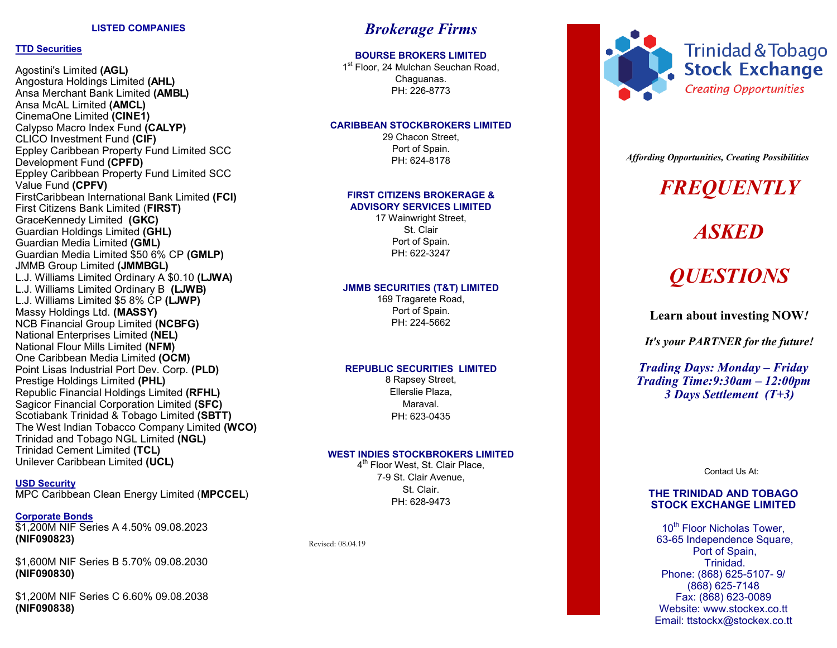# **TTD Securities**

Agostini's Limited **(AGL)** Angostura Holdings Limited **(AHL)** Ansa Merchant Bank Limited **(AMBL)** Ansa McAL Limited **(AMCL)** CinemaOne Limited **(CINE1)** Calypso Macro Index Fund **(CALYP)** CLICO Investment Fund **(CIF)** Eppley Caribbean Property Fund Limited SCC Development Fund **(CPFD)** Eppley Caribbean Property Fund Limited SCC Value Fund **(CPFV)** FirstCaribbean International Bank Limited **(FCI)** First Citizens Bank Limited (**FIRST)** GraceKennedy Limited **(GKC)** Guardian Holdings Limited **(GHL)** Guardian Media Limited **(GML)** Guardian Media Limited \$50 6% CP **(GMLP)** JMMB Group Limited **(JMMBGL)** L.J. Williams Limited Ordinary A \$0.10 **(LJWA)** L.J. Williams Limited Ordinary B **(LJWB)** L.J. Williams Limited \$5 8% CP **(LJWP)** Massy Holdings Ltd. **(MASSY)** NCB Financial Group Limited **(NCBFG)** National Enterprises Limited **(NEL)** National Flour Mills Limited **(NFM)** One Caribbean Media Limited **(OCM)** Point Lisas Industrial Port Dev. Corp. **(PLD)** Prestige Holdings Limited **(PHL)** Republic Financial Holdings Limited **(RFHL)** Sagicor Financial Corporation Limited **(SFC)** Scotiabank Trinidad & Tobago Limited **(SBTT)** The West Indian Tobacco Company Limited **(WCO)** Trinidad and Tobago NGL Limited **(NGL)** Trinidad Cement Limited **(TCL)** Unilever Caribbean Limited **(UCL)**

# **USD Security**

MPC Caribbean Clean Energy Limited (**MPCCEL** )

# **Corporate Bonds**

\$1,200M NIF Series A 4.50% 09.08.2023 **(NIF090823)**

\$1,600M NIF Series B 5.70% 09.08.2030 **(NIF090830)**

\$1,200M NIF Series C 6.60% 09.08.2038 **(NIF090838)**

# *Brokerage Firms*

# **BOURSE BROKERS LIMITED**

1<sup>st</sup> Floor, 24 Mulchan Seuchan Road, Chaguanas. PH: 226 -8773

# **CARIBBEAN STOCKBROKERS LIMITED**

29 Chacon Street, Port of Spain. PH: 624 -8178

# **FIRST CITIZENS BROKERAGE & ADVISORY SERVICES LIMITED**

17 Wainwright Street, St. Clair Port of Spain. PH: 622 -3247

# **JMMB SECURITIES (T&T) LIMITED**

169 Tragarete Road, Port of Spain. PH: 224 -5662

# **REPUBLIC SECURITIES LIMITED**

8 Rapsey Street, Ellerslie Plaza, Maraval. PH: 623 -0435

# **WEST INDIES STOCKBROKERS LIMITED**

4<sup>th</sup> Floor West, St. Clair Place, 7-9 St. Clair Avenue, St. Clair. PH: 628 -9473

Revised: 08.04.19



Trinidad & Tobago **Stock Exchange Creating Opportunities** 

*Affording Opportunities, Creating Possibilities*

# *FREQUENTLY*

# *ASKED*

# *QUESTIONS*

**Learn about investing NOW** *!*

*It's your PARTNER for the future!*

*Trading Days: Monday – Friday Trading Time:9:30am – 12:00pm 3 Days Settlement (T+3)*

Contact Us At:

# **THE TRINIDAD AND TOBAGO STOCK EXCHANGE LIMITED**

10<sup>th</sup> Floor Nicholas Tower, 63 -65 Independence Square, Port of Spain, Trinidad. Phone: (868) 625 -5107 - 9/ (868) 625 -7148 Fax: (868) 623 -0089 Website: www.stockex.co.tt Email: ttstockx@stockex.co.tt